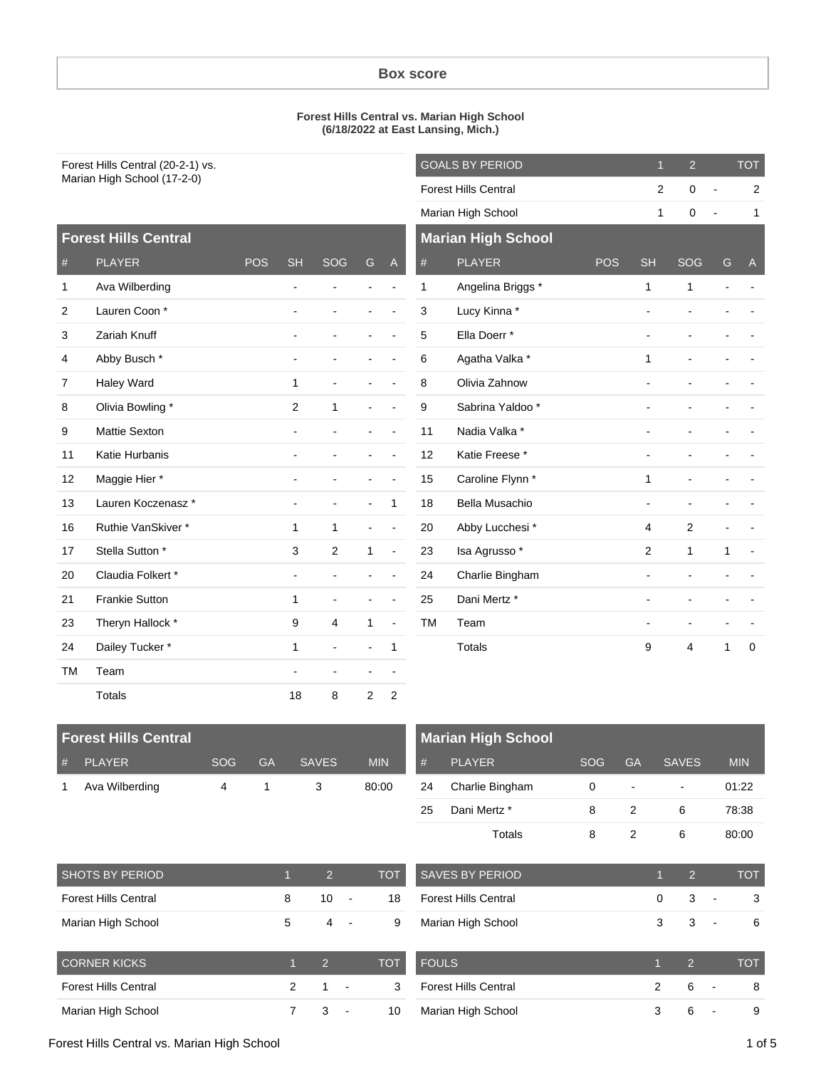#### **Box score**

#### **Forest Hills Central vs. Marian High School (6/18/2022 at East Lansing, Mich.)**

|           | Forest Hills Central (20-2-1) vs. |            |                          |                |              |                |              | <b>GOALS BY PERIOD</b>      |     | $\mathbf{1}$   | $\overline{2}$          |                | <b>TOT</b>     |
|-----------|-----------------------------------|------------|--------------------------|----------------|--------------|----------------|--------------|-----------------------------|-----|----------------|-------------------------|----------------|----------------|
|           | Marian High School (17-2-0)       |            |                          |                |              |                |              | <b>Forest Hills Central</b> |     | $\overline{c}$ | $\mathbf 0$             | $\overline{a}$ | $\overline{2}$ |
|           |                                   |            |                          |                |              |                |              | Marian High School          |     | 1              | $\mathbf 0$             |                | 1              |
|           | <b>Forest Hills Central</b>       |            |                          |                |              |                |              | <b>Marian High School</b>   |     |                |                         |                |                |
| $\#$      | <b>PLAYER</b>                     | <b>POS</b> | <b>SH</b>                | SOG            | G            | $\overline{A}$ | #            | <b>PLAYER</b>               | POS | <b>SH</b>      | SOG                     | G              | $\mathsf{A}$   |
| 1         | Ava Wilberding                    |            |                          |                |              |                | $\mathbf{1}$ | Angelina Briggs *           |     | $\mathbf{1}$   | $\mathbf{1}$            |                |                |
| 2         | Lauren Coon*                      |            |                          |                |              |                | 3            | Lucy Kinna *                |     |                |                         |                |                |
| 3         | Zariah Knuff                      |            | $\blacksquare$           |                |              |                | 5            | Ella Doerr*                 |     |                | $\overline{a}$          |                |                |
| 4         | Abby Busch *                      |            |                          |                |              |                | 6            | Agatha Valka *              |     | $\mathbf{1}$   |                         |                |                |
| 7         | Haley Ward                        |            | $\mathbf{1}$             |                |              |                | 8            | Olivia Zahnow               |     |                |                         |                |                |
| 8         | Olivia Bowling *                  |            | 2                        | 1              |              |                | 9            | Sabrina Yaldoo *            |     |                |                         |                |                |
| 9         | <b>Mattie Sexton</b>              |            | ÷,                       |                |              |                | 11           | Nadia Valka *               |     |                |                         |                |                |
| 11        | Katie Hurbanis                    |            |                          |                |              |                | 12           | Katie Freese*               |     |                |                         |                |                |
| 12        | Maggie Hier *                     |            |                          |                |              | $\overline{a}$ | 15           | Caroline Flynn *            |     | $\mathbf{1}$   |                         |                |                |
| 13        | Lauren Koczenasz*                 |            |                          |                |              | $\mathbf{1}$   | 18           | <b>Bella Musachio</b>       |     |                |                         |                |                |
| 16        | Ruthie VanSkiver *                |            | $\mathbf{1}$             | 1              |              | ÷,             | 20           | Abby Lucchesi*              |     | $\overline{4}$ | $\overline{2}$          |                |                |
| 17        | Stella Sutton *                   |            | 3                        | $\overline{2}$ | 1            | $\blacksquare$ | 23           | Isa Agrusso*                |     | $\overline{2}$ | $\mathbf{1}$            | 1              |                |
| 20        | Claudia Folkert*                  |            | $\overline{\phantom{a}}$ |                |              |                | 24           | Charlie Bingham             |     |                |                         |                |                |
| 21        | <b>Frankie Sutton</b>             |            | $\mathbf{1}$             | $\blacksquare$ |              |                | 25           | Dani Mertz *                |     |                |                         |                |                |
| 23        | Theryn Hallock *                  |            | 9                        | 4              | $\mathbf{1}$ | $\blacksquare$ | <b>TM</b>    | Team                        |     |                |                         |                |                |
| 24        | Dailey Tucker *                   |            | 1                        |                |              | 1              |              | Totals                      |     | 9              | $\overline{\mathbf{4}}$ | 1              | 0              |
| <b>TM</b> | Team                              |            | $\blacksquare$           |                |              |                |              |                             |     |                |                         |                |                |
|           | Totals                            |            | 18                       | 8              | 2            | 2              |              |                             |     |                |                         |                |                |

|   | <b>Forest Hills Central</b> |     |     |       |            |
|---|-----------------------------|-----|-----|-------|------------|
| # | PLAYER                      | SOG | GA. | SAVES | <b>MIN</b> |
|   | Ava Wilberding              |     |     | -3.   | 80:00      |

|    | <b>Marian High School</b> |            |               |              |            |
|----|---------------------------|------------|---------------|--------------|------------|
| #  | <b>PLAYER</b>             | <b>SOG</b> | <b>GA</b>     | <b>SAVES</b> | <b>MIN</b> |
| 24 | Charlie Bingham           | O          |               |              | 01:22      |
| 25 | Dani Mertz *              | 8          | $\mathcal{P}$ | 6            | 78:38      |
|    | Totals                    | 8          |               | 6            | 80:00      |

| <b>SHOTS BY PERIOD</b>      |     | $\mathcal{P}$  | <b>TOT</b> |
|-----------------------------|-----|----------------|------------|
| <b>Forest Hills Central</b> | 8   | 10             | 18         |
| Marian High School          | 5   |                | 9          |
|                             |     |                |            |
| <b>CORNER KICKS</b>         | ۲ĵ. | $\overline{2}$ | <b>TOT</b> |
| <b>Forest Hills Central</b> | 2   | 1              | 3          |

| <b>SAVES BY PERIOD</b>      |   | -2.   | <b>TOT</b> |
|-----------------------------|---|-------|------------|
| <b>Forest Hills Central</b> |   | $3 -$ |            |
| Marian High School          | 3 | 3     |            |

| <b>FOULS</b>                |    |                          |  |
|-----------------------------|----|--------------------------|--|
| <b>Forest Hills Central</b> | 6. | $\blacksquare$           |  |
| Marian High School          | 6  | $\overline{\phantom{a}}$ |  |

Forest Hills Central vs. Marian High School 1 of 5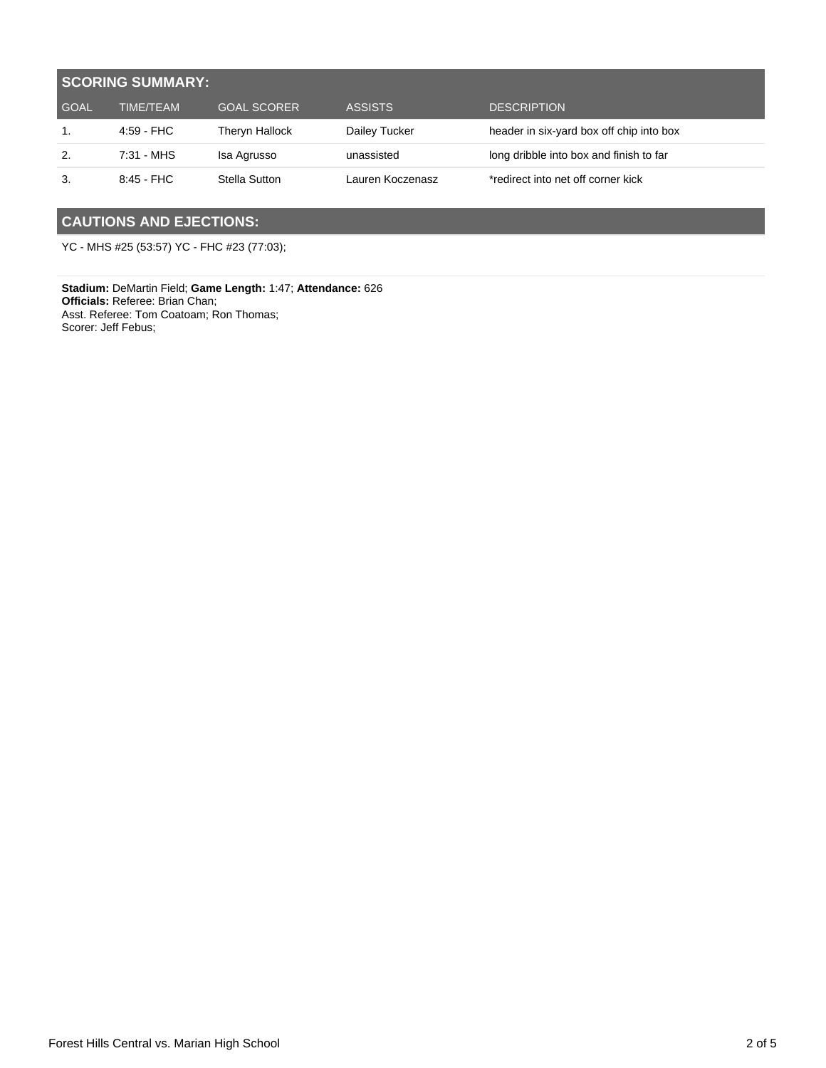| <b>SCORING SUMMARY:</b> |                  |                    |                  |                                          |  |  |  |
|-------------------------|------------------|--------------------|------------------|------------------------------------------|--|--|--|
| <b>GOAL</b>             | <b>TIME/TEAM</b> | <b>GOAL SCORER</b> | <b>ASSISTS</b>   | <b>DESCRIPTION</b>                       |  |  |  |
| 1.                      | $4:59$ - FHC     | Theryn Hallock     | Dailey Tucker    | header in six-yard box off chip into box |  |  |  |
| 2.                      | $7:31 - MHz$     | Isa Agrusso        | unassisted       | long dribble into box and finish to far  |  |  |  |
| 3.                      | 8:45 - FHC       | Stella Sutton      | Lauren Koczenasz | *redirect into net off corner kick       |  |  |  |

## **CAUTIONS AND EJECTIONS:**

YC - MHS #25 (53:57) YC - FHC #23 (77:03);

**Stadium:** DeMartin Field; **Game Length:** 1:47; **Attendance:** 626 **Officials:** Referee: Brian Chan; Asst. Referee: Tom Coatoam; Ron Thomas; Scorer: Jeff Febus;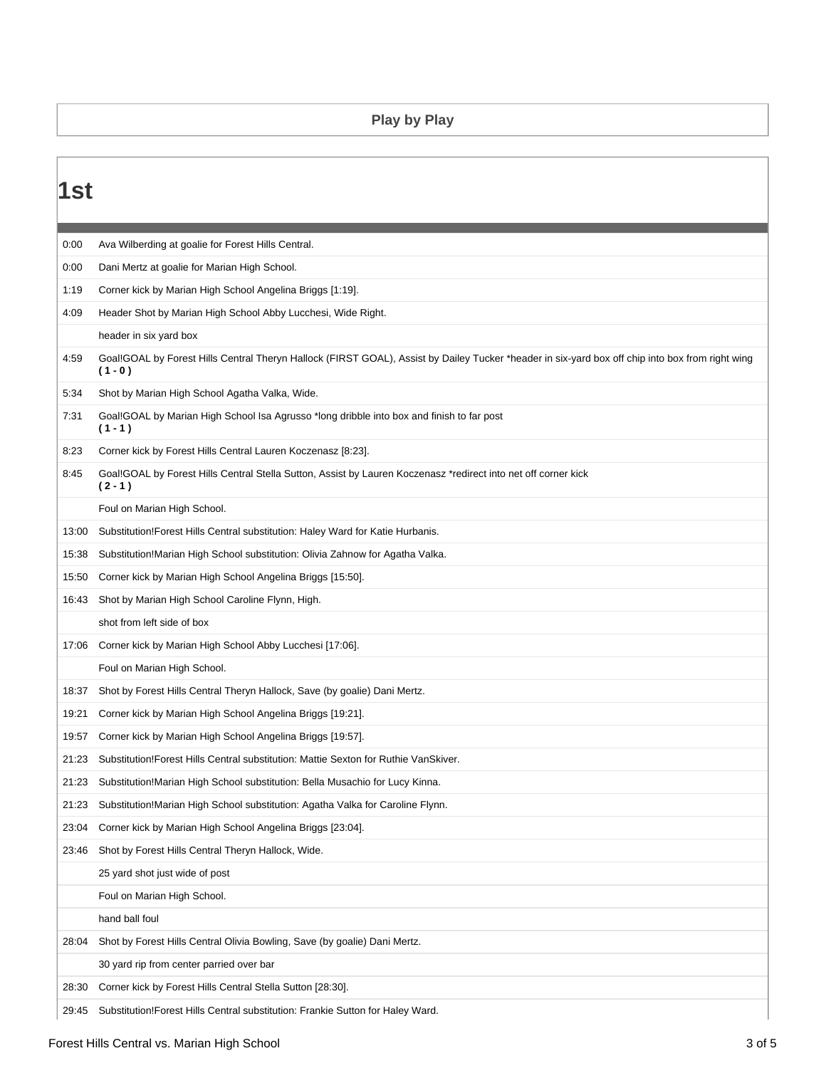### **Play by Play**

| 1st   |                                                                                                                                                           |
|-------|-----------------------------------------------------------------------------------------------------------------------------------------------------------|
| 0:00  | Ava Wilberding at goalie for Forest Hills Central.                                                                                                        |
| 0:00  | Dani Mertz at goalie for Marian High School.                                                                                                              |
| 1:19  | Corner kick by Marian High School Angelina Briggs [1:19].                                                                                                 |
| 4:09  | Header Shot by Marian High School Abby Lucchesi, Wide Right.                                                                                              |
|       | header in six yard box                                                                                                                                    |
| 4:59  | Goal!GOAL by Forest Hills Central Theryn Hallock (FIRST GOAL), Assist by Dailey Tucker *header in six-yard box off chip into box from right wing<br>(1-0) |
| 5:34  | Shot by Marian High School Agatha Valka, Wide.                                                                                                            |
| 7:31  | Goal!GOAL by Marian High School Isa Agrusso *long dribble into box and finish to far post<br>$(1 - 1)$                                                    |
| 8:23  | Corner kick by Forest Hills Central Lauren Koczenasz [8:23].                                                                                              |
| 8:45  | Goal!GOAL by Forest Hills Central Stella Sutton, Assist by Lauren Koczenasz *redirect into net off corner kick<br>(2-1)                                   |
|       | Foul on Marian High School.                                                                                                                               |
| 13:00 | Substitution! Forest Hills Central substitution: Haley Ward for Katie Hurbanis.                                                                           |
| 15:38 | Substitution!Marian High School substitution: Olivia Zahnow for Agatha Valka.                                                                             |
| 15:50 | Corner kick by Marian High School Angelina Briggs [15:50].                                                                                                |
| 16:43 | Shot by Marian High School Caroline Flynn, High.                                                                                                          |
|       | shot from left side of box                                                                                                                                |
| 17:06 | Corner kick by Marian High School Abby Lucchesi [17:06].                                                                                                  |
|       | Foul on Marian High School.                                                                                                                               |
| 18:37 | Shot by Forest Hills Central Theryn Hallock, Save (by goalie) Dani Mertz.                                                                                 |
| 19:21 | Corner kick by Marian High School Angelina Briggs [19:21].                                                                                                |
| 19:57 | Corner kick by Marian High School Angelina Briggs [19:57].                                                                                                |
| 21:23 | Substitution! Forest Hills Central substitution: Mattie Sexton for Ruthie Van Skiver.                                                                     |
| 21:23 | Substitution!Marian High School substitution: Bella Musachio for Lucy Kinna.                                                                              |
| 21:23 | Substitution!Marian High School substitution: Agatha Valka for Caroline Flynn.                                                                            |
| 23:04 | Corner kick by Marian High School Angelina Briggs [23:04].                                                                                                |
| 23:46 | Shot by Forest Hills Central Theryn Hallock, Wide.                                                                                                        |
|       | 25 yard shot just wide of post                                                                                                                            |
|       | Foul on Marian High School.                                                                                                                               |
|       | hand ball foul                                                                                                                                            |
| 28:04 | Shot by Forest Hills Central Olivia Bowling, Save (by goalie) Dani Mertz.                                                                                 |
|       | 30 yard rip from center parried over bar                                                                                                                  |
| 28:30 | Corner kick by Forest Hills Central Stella Sutton [28:30].                                                                                                |
| 29:45 | Substitution! Forest Hills Central substitution: Frankie Sutton for Haley Ward.                                                                           |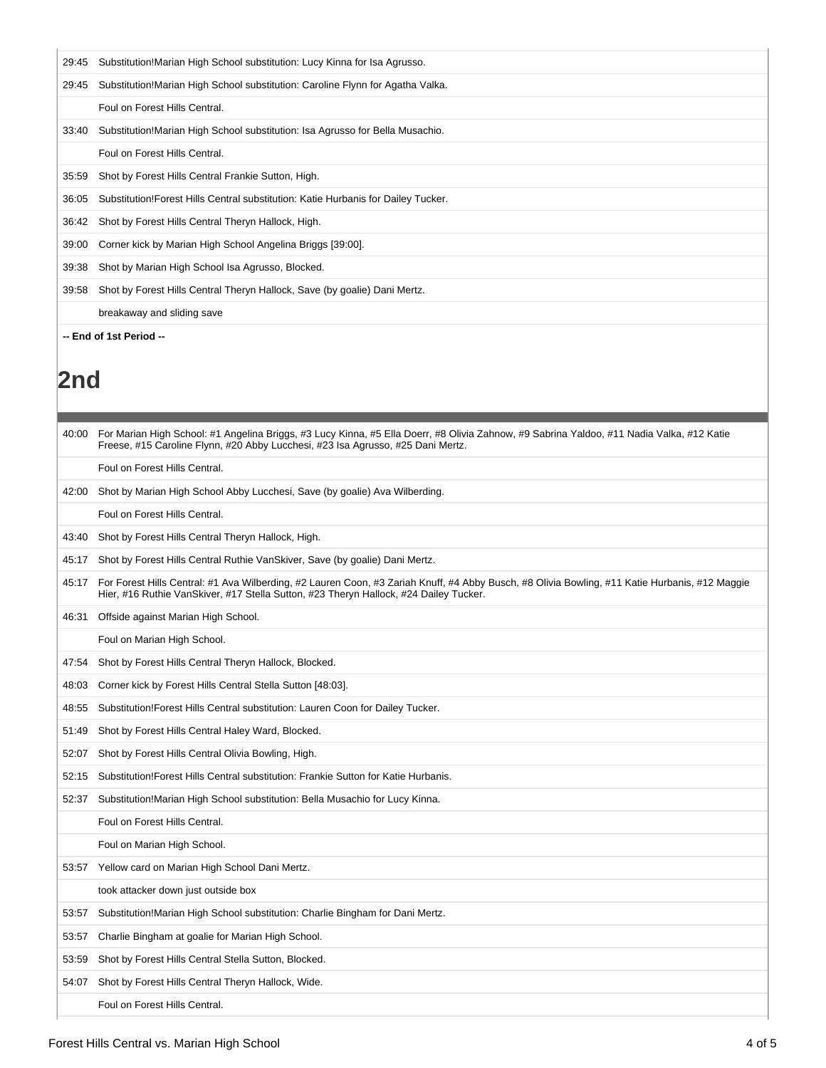| 29:45 | Substitution! Marian High School substitution: Lucy Kinna for Isa Agrusso.         |
|-------|------------------------------------------------------------------------------------|
| 29:45 | Substitution! Marian High School substitution: Caroline Flynn for Agatha Valka.    |
|       | Foul on Forest Hills Central.                                                      |
| 33:40 | Substitution! Marian High School substitution: Isa Agrusso for Bella Musachio.     |
|       | Foul on Forest Hills Central.                                                      |
| 35:59 | Shot by Forest Hills Central Frankie Sutton, High.                                 |
| 36:05 | Substitution! Forest Hills Central substitution: Katie Hurbanis for Dailey Tucker. |
| 36:42 | Shot by Forest Hills Central Theryn Hallock, High.                                 |
| 39:00 | Corner kick by Marian High School Angelina Briggs [39:00].                         |
| 39:38 | Shot by Marian High School Isa Agrusso, Blocked.                                   |
| 39:58 | Shot by Forest Hills Central Theryn Hallock, Save (by goalie) Dani Mertz.          |
|       | breakaway and sliding save                                                         |
|       | -- End of 1st Period --                                                            |

# **2nd**

| 40:00 | For Marian High School: #1 Angelina Briggs, #3 Lucy Kinna, #5 Ella Doerr, #8 Olivia Zahnow, #9 Sabrina Yaldoo, #11 Nadia Valka, #12 Katie<br>Freese, #15 Caroline Flynn, #20 Abby Lucchesi, #23 Isa Agrusso, #25 Dani Mertz.            |
|-------|-----------------------------------------------------------------------------------------------------------------------------------------------------------------------------------------------------------------------------------------|
|       | Foul on Forest Hills Central.                                                                                                                                                                                                           |
| 42:00 | Shot by Marian High School Abby Lucchesi, Save (by goalie) Ava Wilberding.                                                                                                                                                              |
|       | Foul on Forest Hills Central.                                                                                                                                                                                                           |
| 43:40 | Shot by Forest Hills Central Theryn Hallock, High.                                                                                                                                                                                      |
| 45:17 | Shot by Forest Hills Central Ruthie Van Skiver, Save (by goalie) Dani Mertz.                                                                                                                                                            |
| 45:17 | For Forest Hills Central: #1 Ava Wilberding, #2 Lauren Coon, #3 Zariah Knuff, #4 Abby Busch, #8 Olivia Bowling, #11 Katie Hurbanis, #12 Maggie<br>Hier, #16 Ruthie VanSkiver, #17 Stella Sutton, #23 Theryn Hallock, #24 Dailey Tucker. |
| 46:31 | Offside against Marian High School.                                                                                                                                                                                                     |
|       | Foul on Marian High School.                                                                                                                                                                                                             |
| 47:54 | Shot by Forest Hills Central Theryn Hallock, Blocked.                                                                                                                                                                                   |
| 48:03 | Corner kick by Forest Hills Central Stella Sutton [48:03].                                                                                                                                                                              |
| 48:55 | Substitution! Forest Hills Central substitution: Lauren Coon for Dailey Tucker.                                                                                                                                                         |
| 51:49 | Shot by Forest Hills Central Haley Ward, Blocked.                                                                                                                                                                                       |
| 52:07 | Shot by Forest Hills Central Olivia Bowling, High.                                                                                                                                                                                      |
| 52:15 | Substitution! Forest Hills Central substitution: Frankie Sutton for Katie Hurbanis.                                                                                                                                                     |
| 52:37 | Substitution! Marian High School substitution: Bella Musachio for Lucy Kinna.                                                                                                                                                           |
|       | Foul on Forest Hills Central.                                                                                                                                                                                                           |
|       | Foul on Marian High School.                                                                                                                                                                                                             |
| 53:57 | Yellow card on Marian High School Dani Mertz.                                                                                                                                                                                           |
|       | took attacker down just outside box                                                                                                                                                                                                     |
| 53:57 | Substitution! Marian High School substitution: Charlie Bingham for Dani Mertz.                                                                                                                                                          |
| 53:57 | Charlie Bingham at goalie for Marian High School.                                                                                                                                                                                       |
| 53:59 | Shot by Forest Hills Central Stella Sutton, Blocked.                                                                                                                                                                                    |
| 54:07 | Shot by Forest Hills Central Theryn Hallock, Wide.                                                                                                                                                                                      |
|       | Foul on Forest Hills Central.                                                                                                                                                                                                           |